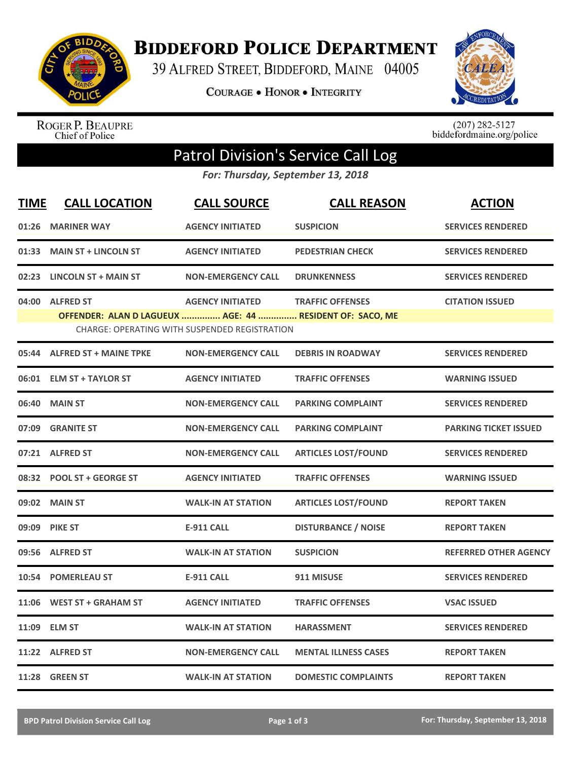

**BIDDEFORD POLICE DEPARTMENT** 

39 ALFRED STREET, BIDDEFORD, MAINE 04005

**COURAGE . HONOR . INTEGRITY** 



ROGER P. BEAUPRE<br>Chief of Police

 $(207)$  282-5127<br>biddefordmaine.org/police

## Patrol Division's Service Call Log

*For: Thursday, September 13, 2018*

| <b>TIME</b> | <b>CALL LOCATION</b>                                                         | <b>CALL SOURCE</b>                                                              | <b>CALL REASON</b>          | <b>ACTION</b>                |
|-------------|------------------------------------------------------------------------------|---------------------------------------------------------------------------------|-----------------------------|------------------------------|
|             | 01:26 MARINER WAY                                                            | <b>AGENCY INITIATED</b>                                                         | <b>SUSPICION</b>            | <b>SERVICES RENDERED</b>     |
| 01:33       | <b>MAIN ST + LINCOLN ST</b>                                                  | <b>AGENCY INITIATED</b>                                                         | <b>PEDESTRIAN CHECK</b>     | <b>SERVICES RENDERED</b>     |
|             | 02:23 LINCOLN ST + MAIN ST                                                   | <b>NON-EMERGENCY CALL</b>                                                       | <b>DRUNKENNESS</b>          | <b>SERVICES RENDERED</b>     |
| 04:00       | <b>ALFRED ST</b><br>OFFENDER: ALAN D LAGUEUX  AGE: 44  RESIDENT OF: SACO, ME | <b>AGENCY INITIATED</b><br><b>CHARGE: OPERATING WITH SUSPENDED REGISTRATION</b> | <b>TRAFFIC OFFENSES</b>     | <b>CITATION ISSUED</b>       |
|             | 05:44 ALFRED ST + MAINE TPKE                                                 | <b>NON-EMERGENCY CALL</b>                                                       | <b>DEBRIS IN ROADWAY</b>    | <b>SERVICES RENDERED</b>     |
|             | 06:01 ELM ST + TAYLOR ST                                                     | <b>AGENCY INITIATED</b>                                                         | <b>TRAFFIC OFFENSES</b>     | <b>WARNING ISSUED</b>        |
|             | 06:40 MAIN ST                                                                | <b>NON-EMERGENCY CALL</b>                                                       | <b>PARKING COMPLAINT</b>    | <b>SERVICES RENDERED</b>     |
| 07:09       | <b>GRANITE ST</b>                                                            | <b>NON-EMERGENCY CALL</b>                                                       | <b>PARKING COMPLAINT</b>    | <b>PARKING TICKET ISSUED</b> |
|             | 07:21 ALFRED ST                                                              | <b>NON-EMERGENCY CALL</b>                                                       | <b>ARTICLES LOST/FOUND</b>  | <b>SERVICES RENDERED</b>     |
|             | 08:32 POOL ST + GEORGE ST                                                    | <b>AGENCY INITIATED</b>                                                         | <b>TRAFFIC OFFENSES</b>     | <b>WARNING ISSUED</b>        |
|             | 09:02 MAIN ST                                                                | <b>WALK-IN AT STATION</b>                                                       | <b>ARTICLES LOST/FOUND</b>  | <b>REPORT TAKEN</b>          |
|             | 09:09 PIKE ST                                                                | <b>E-911 CALL</b>                                                               | <b>DISTURBANCE / NOISE</b>  | <b>REPORT TAKEN</b>          |
|             | 09:56 ALFRED ST                                                              | <b>WALK-IN AT STATION</b>                                                       | <b>SUSPICION</b>            | <b>REFERRED OTHER AGENCY</b> |
|             | 10:54 POMERLEAU ST                                                           | <b>E-911 CALL</b>                                                               | 911 MISUSE                  | <b>SERVICES RENDERED</b>     |
| 11:06       | <b>WEST ST + GRAHAM ST</b>                                                   | <b>AGENCY INITIATED</b>                                                         | <b>TRAFFIC OFFENSES</b>     | <b>VSAC ISSUED</b>           |
|             | 11:09 ELM ST                                                                 | <b>WALK-IN AT STATION</b>                                                       | <b>HARASSMENT</b>           | <b>SERVICES RENDERED</b>     |
|             | 11:22 ALFRED ST                                                              | <b>NON-EMERGENCY CALL</b>                                                       | <b>MENTAL ILLNESS CASES</b> | <b>REPORT TAKEN</b>          |
|             | 11:28 GREEN ST                                                               | <b>WALK-IN AT STATION</b>                                                       | <b>DOMESTIC COMPLAINTS</b>  | <b>REPORT TAKEN</b>          |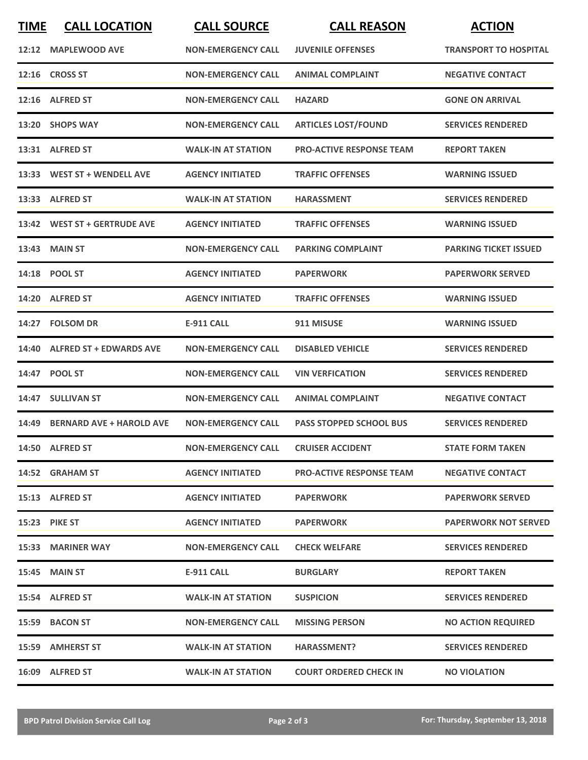| <b>TIME</b> | <b>CALL LOCATION</b>           | <b>CALL SOURCE</b>        | <b>CALL REASON</b>              | <b>ACTION</b>                |
|-------------|--------------------------------|---------------------------|---------------------------------|------------------------------|
|             | 12:12 MAPLEWOOD AVE            | <b>NON-EMERGENCY CALL</b> | <b>JUVENILE OFFENSES</b>        | <b>TRANSPORT TO HOSPITAL</b> |
|             | 12:16 CROSS ST                 | <b>NON-EMERGENCY CALL</b> | <b>ANIMAL COMPLAINT</b>         | <b>NEGATIVE CONTACT</b>      |
|             | 12:16 ALFRED ST                | <b>NON-EMERGENCY CALL</b> | <b>HAZARD</b>                   | <b>GONE ON ARRIVAL</b>       |
|             | 13:20 SHOPS WAY                | <b>NON-EMERGENCY CALL</b> | <b>ARTICLES LOST/FOUND</b>      | <b>SERVICES RENDERED</b>     |
|             | 13:31 ALFRED ST                | <b>WALK-IN AT STATION</b> | <b>PRO-ACTIVE RESPONSE TEAM</b> | <b>REPORT TAKEN</b>          |
|             | 13:33 WEST ST + WENDELL AVE    | <b>AGENCY INITIATED</b>   | <b>TRAFFIC OFFENSES</b>         | <b>WARNING ISSUED</b>        |
|             | 13:33 ALFRED ST                | <b>WALK-IN AT STATION</b> | <b>HARASSMENT</b>               | <b>SERVICES RENDERED</b>     |
|             | 13:42 WEST ST + GERTRUDE AVE   | <b>AGENCY INITIATED</b>   | <b>TRAFFIC OFFENSES</b>         | <b>WARNING ISSUED</b>        |
|             | 13:43 MAIN ST                  | <b>NON-EMERGENCY CALL</b> | <b>PARKING COMPLAINT</b>        | <b>PARKING TICKET ISSUED</b> |
|             | 14:18 POOL ST                  | <b>AGENCY INITIATED</b>   | <b>PAPERWORK</b>                | <b>PAPERWORK SERVED</b>      |
|             | 14:20 ALFRED ST                | <b>AGENCY INITIATED</b>   | <b>TRAFFIC OFFENSES</b>         | <b>WARNING ISSUED</b>        |
|             | 14:27 FOLSOM DR                | <b>E-911 CALL</b>         | 911 MISUSE                      | <b>WARNING ISSUED</b>        |
|             | 14:40 ALFRED ST + EDWARDS AVE  | <b>NON-EMERGENCY CALL</b> | <b>DISABLED VEHICLE</b>         | <b>SERVICES RENDERED</b>     |
|             | 14:47 POOL ST                  | <b>NON-EMERGENCY CALL</b> | <b>VIN VERFICATION</b>          | <b>SERVICES RENDERED</b>     |
|             | 14:47 SULLIVAN ST              | <b>NON-EMERGENCY CALL</b> | <b>ANIMAL COMPLAINT</b>         | <b>NEGATIVE CONTACT</b>      |
|             | 14:49 BERNARD AVE + HAROLD AVE | <b>NON-EMERGENCY CALL</b> | <b>PASS STOPPED SCHOOL BUS</b>  | <b>SERVICES RENDERED</b>     |
|             | 14:50 ALFRED ST                | <b>NON-EMERGENCY CALL</b> | <b>CRUISER ACCIDENT</b>         | <b>STATE FORM TAKEN</b>      |
|             | 14:52 GRAHAM ST                | <b>AGENCY INITIATED</b>   | <b>PRO-ACTIVE RESPONSE TEAM</b> | <b>NEGATIVE CONTACT</b>      |
|             | 15:13 ALFRED ST                | <b>AGENCY INITIATED</b>   | <b>PAPERWORK</b>                | <b>PAPERWORK SERVED</b>      |
|             | 15:23 PIKE ST                  | <b>AGENCY INITIATED</b>   | <b>PAPERWORK</b>                | <b>PAPERWORK NOT SERVED</b>  |
|             | 15:33 MARINER WAY              | <b>NON-EMERGENCY CALL</b> | <b>CHECK WELFARE</b>            | <b>SERVICES RENDERED</b>     |
|             | <b>15:45 MAIN ST</b>           | E-911 CALL                | <b>BURGLARY</b>                 | <b>REPORT TAKEN</b>          |
|             | 15:54 ALFRED ST                | <b>WALK-IN AT STATION</b> | <b>SUSPICION</b>                | <b>SERVICES RENDERED</b>     |
|             | 15:59 BACON ST                 | <b>NON-EMERGENCY CALL</b> | <b>MISSING PERSON</b>           | <b>NO ACTION REQUIRED</b>    |
|             | 15:59 AMHERST ST               | <b>WALK-IN AT STATION</b> | <b>HARASSMENT?</b>              | <b>SERVICES RENDERED</b>     |
|             | 16:09 ALFRED ST                | <b>WALK-IN AT STATION</b> | <b>COURT ORDERED CHECK IN</b>   | <b>NO VIOLATION</b>          |